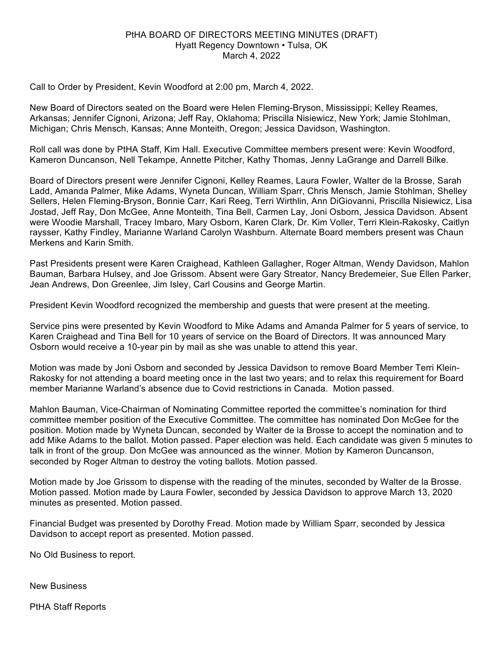## PtHA BOARD OF DIRECTORS MEETING MINUTES (DRAFT) Hyatt Regency Downtown • Tulsa, OK March 4, 2022

Call to Order by President, Kevin Woodford at 2:00 pm, March 4, 2022.

New Board of Directors seated on the Board were Helen Fleming-Bryson, Mississippi; Kelley Reames, Arkansas; Jennifer Cignoni, Arizona; Jeff Ray, Oklahoma; Priscilla Nisiewicz, New York; Jamie Stohlman, Michigan; Chris Mensch, Kansas; Anne Monteith, Oregon; Jessica Davidson, Washington.

Roll call was done by PtHA Staff, Kim Hall. Executive Committee members present were: Kevin Woodford, Kameron Duncanson, Nell Tekampe, Annette Pitcher, Kathy Thomas, Jenny LaGrange and Darrell Bilke.

Board of Directors present were Jennifer Cignoni, Kelley Reames, Laura Fowler, Walter de la Brosse, Sarah Ladd, Amanda Palmer, Mike Adams, Wyneta Duncan, William Sparr, Chris Mensch, Jamie Stohlman, Shelley Sellers, Helen Fleming-Bryson, Bonnie Carr, Kari Reeg, Terri Wirthlin, Ann DiGiovanni, Priscilla Nisiewicz, Lisa Jostad, Jeff Ray, Don McGee, Anne Monteith, Tina Bell, Carmen Lay, Joni Osborn, Jessica Davidson. Absent were Woodie Marshall, Tracey Imbaro, Mary Osborn, Karen Clark, Dr. Kim Voller, Terri Klein-Rakosky, Caitlyn raysser, Kathy Findley, Marianne Warland Carolyn Washburn. Alternate Board members present was Chaun Merkens and Karin Smith.

Past Presidents present were Karen Craighead, Kathleen Gallagher, Roger Altman, Wendy Davidson, Mahlon Bauman, Barbara Hulsey, and Joe Grissom. Absent were Gary Streator, Nancy Bredemeier, Sue Ellen Parker, Jean Andrews, Don Greenlee, Jim Isley, Carl Cousins and George Martin.

President Kevin Woodford recognized the membership and guests that were present at the meeting.

Service pins were presented by Kevin Woodford to Mike Adams and Amanda Palmer for 5 years of service, to Karen Craighead and Tina Bell for 10 years of service on the Board of Directors. It was announced Mary Osborn would receive a 10-year pin by mail as she was unable to attend this year.

Motion was made by Joni Osborn and seconded by Jessica Davidson to remove Board Member Terri Klein-Rakosky for not attending a board meeting once in the last two years; and to relax this requirement for Board member Marianne Warland's absence due to Covid restrictions in Canada. Motion passed.

Mahlon Bauman, Vice-Chairman of Nominating Committee reported the committee's nomination for third committee member position of the Executive Committee. The committee has nominated Don McGee for the position. Motion made by Wyneta Duncan, seconded by Walter de la Brosse to accept the nomination and to add Mike Adams to the ballot. Motion passed. Paper election was held. Each candidate was given 5 minutes to talk in front of the group. Don McGee was announced as the winner. Motion by Kameron Duncanson, seconded by Roger Altman to destroy the voting ballots. Motion passed.

Motion made by Joe Grissom to dispense with the reading of the minutes, seconded by Walter de la Brosse. Motion passed. Motion made by Laura Fowler, seconded by Jessica Davidson to approve March 13, 2020 minutes as presented. Motion passed.

Financial Budget was presented by Dorothy Fread. Motion made by William Sparr, seconded by Jessica Davidson to accept report as presented. Motion passed.

No Old Business to report.

New Business

PtHA Staff Reports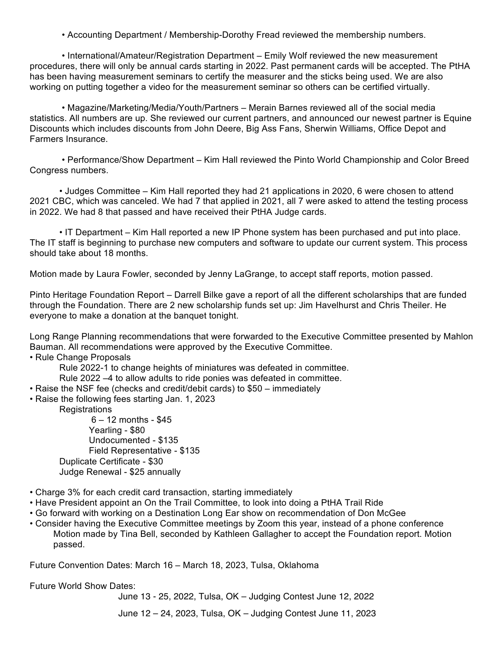• Accounting Department / Membership-Dorothy Fread reviewed the membership numbers.

• International/Amateur/Registration Department – Emily Wolf reviewed the new measurement procedures, there will only be annual cards starting in 2022. Past permanent cards will be accepted. The PtHA has been having measurement seminars to certify the measurer and the sticks being used. We are also working on putting together a video for the measurement seminar so others can be certified virtually.

• Magazine/Marketing/Media/Youth/Partners – Merain Barnes reviewed all of the social media statistics. All numbers are up. She reviewed our current partners, and announced our newest partner is Equine Discounts which includes discounts from John Deere, Big Ass Fans, Sherwin Williams, Office Depot and Farmers Insurance.

 • Performance/Show Department – Kim Hall reviewed the Pinto World Championship and Color Breed Congress numbers.

• Judges Committee – Kim Hall reported they had 21 applications in 2020, 6 were chosen to attend 2021 CBC, which was canceled. We had 7 that applied in 2021, all 7 were asked to attend the testing process in 2022. We had 8 that passed and have received their PtHA Judge cards.

• IT Department – Kim Hall reported a new IP Phone system has been purchased and put into place. The IT staff is beginning to purchase new computers and software to update our current system. This process should take about 18 months.

Motion made by Laura Fowler, seconded by Jenny LaGrange, to accept staff reports, motion passed.

Pinto Heritage Foundation Report – Darrell Bilke gave a report of all the different scholarships that are funded through the Foundation. There are 2 new scholarship funds set up: Jim Havelhurst and Chris Theiler. He everyone to make a donation at the banquet tonight.

Long Range Planning recommendations that were forwarded to the Executive Committee presented by Mahlon Bauman. All recommendations were approved by the Executive Committee.

• Rule Change Proposals

Rule 2022-1 to change heights of miniatures was defeated in committee.

Rule 2022 –4 to allow adults to ride ponies was defeated in committee.

• Raise the NSF fee (checks and credit/debit cards) to \$50 – immediately

• Raise the following fees starting Jan. 1, 2023

**Registrations** 

6 – 12 months - \$45 Yearling - \$80 Undocumented - \$135 Field Representative - \$135 Duplicate Certificate - \$30 Judge Renewal - \$25 annually

- Charge 3% for each credit card transaction, starting immediately
- Have President appoint an On the Trail Committee, to look into doing a PtHA Trail Ride
- Go forward with working on a Destination Long Ear show on recommendation of Don McGee
- Consider having the Executive Committee meetings by Zoom this year, instead of a phone conference Motion made by Tina Bell, seconded by Kathleen Gallagher to accept the Foundation report. Motion passed.

Future Convention Dates: March 16 – March 18, 2023, Tulsa, Oklahoma

Future World Show Dates:

June 13 - 25, 2022, Tulsa, OK – Judging Contest June 12, 2022

June 12 – 24, 2023, Tulsa, OK – Judging Contest June 11, 2023